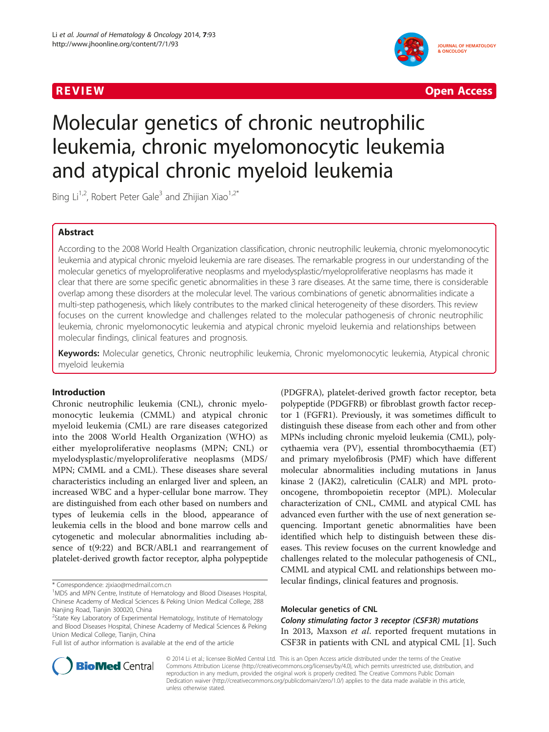

**REVIEW CONTROL** CONTROL CONTROL CONTROL CONTROL CONTROL CONTROL CONTROL CONTROL CONTROL CONTROL CONTROL CONTROL CONTROL CONTROL CONTROL CONTROL CONTROL CONTROL CONTROL CONTROL CONTROL CONTROL CONTROL CONTROL CONTROL CONTR

# Molecular genetics of chronic neutrophilic leukemia, chronic myelomonocytic leukemia and atypical chronic myeloid leukemia

Bing  $Li^{1,2}$ , Robert Peter Gale<sup>3</sup> and Zhijian Xiao<sup>1,2\*</sup>

## Abstract

According to the 2008 World Health Organization classification, chronic neutrophilic leukemia, chronic myelomonocytic leukemia and atypical chronic myeloid leukemia are rare diseases. The remarkable progress in our understanding of the molecular genetics of myeloproliferative neoplasms and myelodysplastic/myeloproliferative neoplasms has made it clear that there are some specific genetic abnormalities in these 3 rare diseases. At the same time, there is considerable overlap among these disorders at the molecular level. The various combinations of genetic abnormalities indicate a multi-step pathogenesis, which likely contributes to the marked clinical heterogeneity of these disorders. This review focuses on the current knowledge and challenges related to the molecular pathogenesis of chronic neutrophilic leukemia, chronic myelomonocytic leukemia and atypical chronic myeloid leukemia and relationships between molecular findings, clinical features and prognosis.

Keywords: Molecular genetics, Chronic neutrophilic leukemia, Chronic myelomonocytic leukemia, Atypical chronic myeloid leukemia

#### Introduction

Chronic neutrophilic leukemia (CNL), chronic myelomonocytic leukemia (CMML) and atypical chronic myeloid leukemia (CML) are rare diseases categorized into the 2008 World Health Organization (WHO) as either myeloproliferative neoplasms (MPN; CNL) or myelodysplastic/myeloproliferative neoplasms (MDS/ MPN; CMML and a CML). These diseases share several characteristics including an enlarged liver and spleen, an increased WBC and a hyper-cellular bone marrow. They are distinguished from each other based on numbers and types of leukemia cells in the blood, appearance of leukemia cells in the blood and bone marrow cells and cytogenetic and molecular abnormalities including absence of t(9:22) and BCR/ABL1 and rearrangement of platelet-derived growth factor receptor, alpha polypeptide

(PDGFRA), platelet-derived growth factor receptor, beta polypeptide (PDGFRB) or fibroblast growth factor receptor 1 (FGFR1). Previously, it was sometimes difficult to distinguish these disease from each other and from other MPNs including chronic myeloid leukemia (CML), polycythaemia vera (PV), essential thrombocythaemia (ET) and primary myelofibrosis (PMF) which have different molecular abnormalities including mutations in Janus kinase 2 (JAK2), calreticulin (CALR) and MPL protooncogene, thrombopoietin receptor (MPL). Molecular characterization of CNL, CMML and atypical CML has advanced even further with the use of next generation sequencing. Important genetic abnormalities have been identified which help to distinguish between these diseases. This review focuses on the current knowledge and challenges related to the molecular pathogenesis of CNL, CMML and atypical CML and relationships between molecular findings, clinical features and prognosis.

### Molecular genetics of CNL

Colony stimulating factor 3 receptor (CSF3R) mutations In 2013, Maxson et al. reported frequent mutations in CSF3R in patients with CNL and atypical CML [\[1](#page-4-0)]. Such



© 2014 Li et al.; licensee BioMed Central Ltd. This is an Open Access article distributed under the terms of the Creative Commons Attribution License [\(http://creativecommons.org/licenses/by/4.0\)](http://creativecommons.org/licenses/by/4.0), which permits unrestricted use, distribution, and reproduction in any medium, provided the original work is properly credited. The Creative Commons Public Domain Dedication waiver [\(http://creativecommons.org/publicdomain/zero/1.0/](http://creativecommons.org/publicdomain/zero/1.0/)) applies to the data made available in this article, unless otherwise stated.

<sup>\*</sup> Correspondence: [zjxiao@medmail.com.cn](mailto:zjxiao@medmail.com.cn) <sup>1</sup>

<sup>&</sup>lt;sup>1</sup>MDS and MPN Centre, Institute of Hematology and Blood Diseases Hospital, Chinese Academy of Medical Sciences & Peking Union Medical College, 288 Nanjing Road, Tianjin 300020, China

<sup>&</sup>lt;sup>2</sup>State Key Laboratory of Experimental Hematology, Institute of Hematology and Blood Diseases Hospital, Chinese Academy of Medical Sciences & Peking Union Medical College, Tianjin, China

Full list of author information is available at the end of the article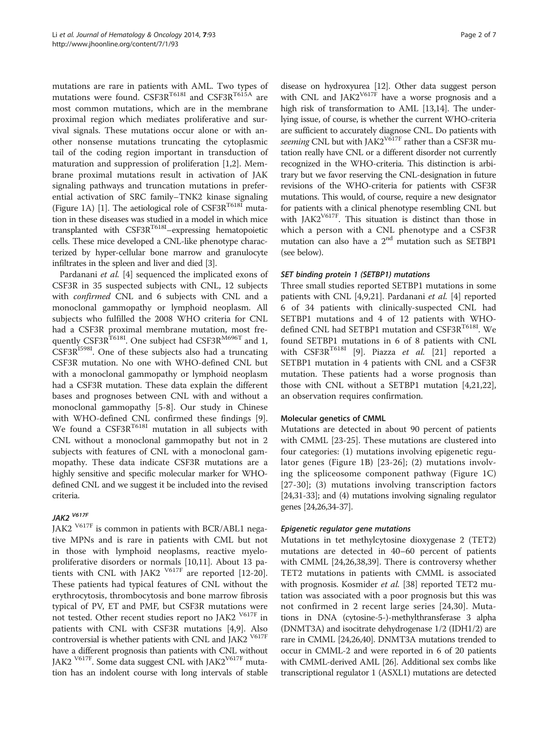mutations are rare in patients with AML. Two types of mutations were found.  $CSE3R^{T6181}$  and  $CSE3R^{T615A}$  are most common mutations, which are in the membrane proximal region which mediates proliferative and survival signals. These mutations occur alone or with another nonsense mutations truncating the cytoplasmic tail of the coding region important in transduction of maturation and suppression of proliferation [[1](#page-4-0),[2\]](#page-4-0). Membrane proximal mutations result in activation of JAK signaling pathways and truncation mutations in preferential activation of SRC family–TNK2 kinase signaling (Figure [1A](#page-2-0)) [\[1\]](#page-4-0). The aetiological role of CSF3R<sup>T618I</sup> mutation in these diseases was studied in a model in which mice transplanted with CSF3R<sup>T618I</sup>-expressing hematopoietic cells. These mice developed a CNL-like phenotype characterized by hyper-cellular bone marrow and granulocyte infiltrates in the spleen and liver and died [[3](#page-4-0)].

Pardanani et al. [\[4](#page-4-0)] sequenced the implicated exons of CSF3R in 35 suspected subjects with CNL, 12 subjects with confirmed CNL and 6 subjects with CNL and a monoclonal gammopathy or lymphoid neoplasm. All subjects who fulfilled the 2008 WHO criteria for CNL had a CSF3R proximal membrane mutation, most frequently CSF3R<sup>T618I</sup>. One subject had CSF3R<sup>M696T</sup> and 1,  $CSF3R<sup>15981</sup>$ . One of these subjects also had a truncating CSF3R mutation. No one with WHO-defined CNL but with a monoclonal gammopathy or lymphoid neoplasm had a CSF3R mutation. These data explain the different bases and prognoses between CNL with and without a monoclonal gammopathy [[5-8](#page-4-0)]. Our study in Chinese with WHO-defined CNL confirmed these findings [\[9](#page-4-0)]. We found a  $CSP3R^{T6181}$  mutation in all subjects with CNL without a monoclonal gammopathy but not in 2 subjects with features of CNL with a monoclonal gammopathy. These data indicate CSF3R mutations are a highly sensitive and specific molecular marker for WHOdefined CNL and we suggest it be included into the revised criteria.

# JAK2 V617F

JAK2 V617F is common in patients with BCR/ABL1 negative MPNs and is rare in patients with CML but not in those with lymphoid neoplasms, reactive myeloproliferative disorders or normals [\[10,11](#page-4-0)]. About 13 patients with CNL with JAK2  $\frac{V617F}{V617}$  are reported [\[12](#page-4-0)[-20](#page-5-0)]. These patients had typical features of CNL without the erythrocytosis, thrombocytosis and bone marrow fibrosis typical of PV, ET and PMF, but CSF3R mutations were not tested. Other recent studies report no JAK2 V617F in patients with CNL with CSF3R mutations [\[4,9](#page-4-0)]. Also controversial is whether patients with CNL and JAK2  $^{\mathrm{V617F}}$ have a different prognosis than patients with CNL without JAK2  $\frac{V617F}{V617}$ . Some data suggest CNL with JAK2 $\frac{V617F}{V617}$  mutation has an indolent course with long intervals of stable

disease on hydroxyurea [\[12\]](#page-4-0). Other data suggest person with CNL and  $JAK2^{V617F}$  have a worse prognosis and a high risk of transformation to AML [\[13,14](#page-5-0)]. The underlying issue, of course, is whether the current WHO-criteria are sufficient to accurately diagnose CNL. Do patients with seeming CNL but with JAK2<sup>V617F</sup> rather than a CSF3R mutation really have CNL or a different disorder not currently recognized in the WHO-criteria. This distinction is arbitrary but we favor reserving the CNL-designation in future revisions of the WHO-criteria for patients with CSF3R mutations. This would, of course, require a new designator for patients with a clinical phenotype resembling CNL but with JAK2<sup>V617F</sup>. This situation is distinct than those in which a person with a CNL phenotype and a CSF3R mutation can also have a 2<sup>nd</sup> mutation such as SETBP1 (see below).

#### SET binding protein 1 (SETBP1) mutations

Three small studies reported SETBP1 mutations in some patients with CNL [[4,9,](#page-4-0)[21\]](#page-5-0). Pardanani et al. [\[4](#page-4-0)] reported 6 of 34 patients with clinically-suspected CNL had SETBP1 mutations and 4 of 12 patients with WHOdefined CNL had SETBP1 mutation and CSF3R<sup>T618I</sup>. We found SETBP1 mutations in 6 of 8 patients with CNL with  $CSP3R^{T618I}$  [\[9](#page-4-0)]. Piazza *et al.* [[21\]](#page-5-0) reported a SETBP1 mutation in 4 patients with CNL and a CSF3R mutation. These patients had a worse prognosis than those with CNL without a SETBP1 mutation [\[4](#page-4-0)[,21,22](#page-5-0)], an observation requires confirmation.

#### Molecular genetics of CMML

Mutations are detected in about 90 percent of patients with CMML [[23-25\]](#page-5-0). These mutations are clustered into four categories: (1) mutations involving epigenetic regulator genes (Figure [1B](#page-2-0)) [[23-26\]](#page-5-0); (2) mutations involving the spliceosome component pathway (Figure [1](#page-2-0)C) [[27](#page-5-0)-[30](#page-5-0)]; (3) mutations involving transcription factors [[24,31-33\]](#page-5-0); and (4) mutations involving signaling regulator genes [\[24,26,34-37\]](#page-5-0).

#### Epigenetic regulator gene mutations

Mutations in tet methylcytosine dioxygenase 2 (TET2) mutations are detected in 40–60 percent of patients with CMML [[24,26,38,39\]](#page-5-0). There is controversy whether TET2 mutations in patients with CMML is associated with prognosis. Kosmider et al. [\[38](#page-5-0)] reported TET2 mutation was associated with a poor prognosis but this was not confirmed in 2 recent large series [[24,30](#page-5-0)]. Mutations in DNA (cytosine-5-)-methylthransferase 3 alpha (DNMT3A) and isocitrate dehydrogenase 1/2 (IDH1/2) are rare in CMML [[24,26,40](#page-5-0)]. DNMT3A mutations trended to occur in CMML-2 and were reported in 6 of 20 patients with CMML-derived AML [[26](#page-5-0)]. Additional sex combs like transcriptional regulator 1 (ASXL1) mutations are detected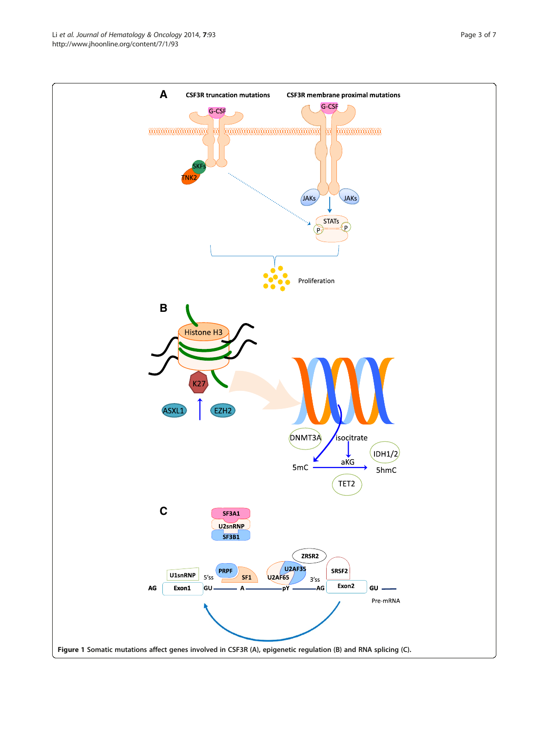<span id="page-2-0"></span>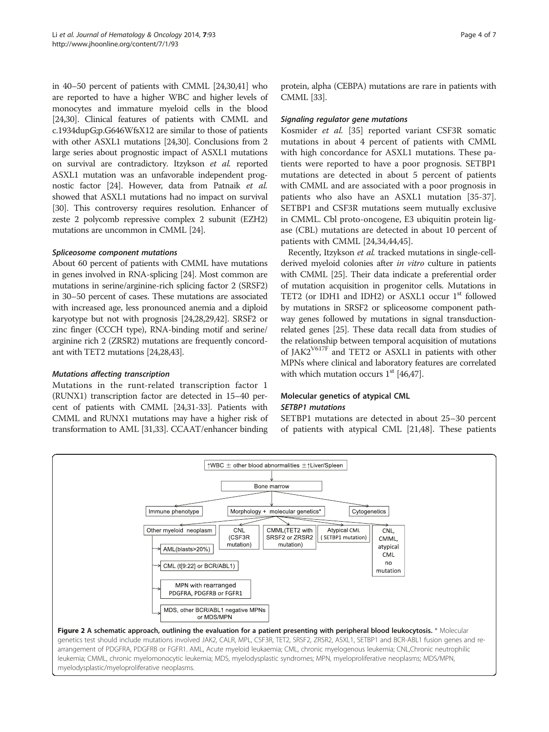<span id="page-3-0"></span>in 40–50 percent of patients with CMML [\[24,30,41\]](#page-5-0) who are reported to have a higher WBC and higher levels of monocytes and immature myeloid cells in the blood [[24,30\]](#page-5-0). Clinical features of patients with CMML and c.1934dupG;p.G646WfsX12 are similar to those of patients with other ASXL1 mutations [[24,30\]](#page-5-0). Conclusions from 2 large series about prognostic impact of ASXL1 mutations on survival are contradictory. Itzykson et al. reported ASXL1 mutation was an unfavorable independent prognostic factor [[24](#page-5-0)]. However, data from Patnaik et al. showed that ASXL1 mutations had no impact on survival [[30](#page-5-0)]. This controversy requires resolution. Enhancer of zeste 2 polycomb repressive complex 2 subunit (EZH2) mutations are uncommon in CMML [\[24\]](#page-5-0).

#### Spliceosome component mutations

About 60 percent of patients with CMML have mutations in genes involved in RNA-splicing [[24](#page-5-0)]. Most common are mutations in serine/arginine-rich splicing factor 2 (SRSF2) in 30–50 percent of cases. These mutations are associated with increased age, less pronounced anemia and a diploid karyotype but not with prognosis [[24,28,29,42\]](#page-5-0). SRSF2 or zinc finger (CCCH type), RNA-binding motif and serine/ arginine rich 2 (ZRSR2) mutations are frequently concordant with TET2 mutations [\[24,28](#page-5-0)[,43\]](#page-6-0).

#### Mutations affecting transcription

Mutations in the runt-related transcription factor 1 (RUNX1) transcription factor are detected in 15–40 percent of patients with CMML [\[24,31](#page-5-0)-[33](#page-5-0)]. Patients with CMML and RUNX1 mutations may have a higher risk of transformation to AML [\[31,33\]](#page-5-0). CCAAT/enhancer binding

protein, alpha (CEBPA) mutations are rare in patients with CMML [\[33\]](#page-5-0).

#### Signaling regulator gene mutations

Kosmider et al. [\[35](#page-5-0)] reported variant CSF3R somatic mutations in about 4 percent of patients with CMML with high concordance for ASXL1 mutations. These patients were reported to have a poor prognosis. SETBP1 mutations are detected in about 5 percent of patients with CMML and are associated with a poor prognosis in patients who also have an ASXL1 mutation [\[35-37](#page-5-0)]. SETBP1 and CSF3R mutations seem mutually exclusive in CMML. Cbl proto-oncogene, E3 ubiquitin protein ligase (CBL) mutations are detected in about 10 percent of patients with CMML [\[24,34](#page-5-0)[,44,45\]](#page-6-0).

Recently, Itzykson et al. tracked mutations in single-cellderived myeloid colonies after *in vitro* culture in patients with CMML [\[25\]](#page-5-0). Their data indicate a preferential order of mutation acquisition in progenitor cells. Mutations in TET2 (or IDH1 and IDH2) or ASXL1 occur 1<sup>st</sup> followed by mutations in SRSF2 or spliceosome component pathway genes followed by mutations in signal transductionrelated genes [\[25\]](#page-5-0). These data recall data from studies of the relationship between temporal acquisition of mutations of JAK2V617F and TET2 or ASXL1 in patients with other MPNs where clinical and laboratory features are correlated with which mutation occurs  $1<sup>st</sup>$  [[46,47\]](#page-6-0).

#### Molecular genetics of atypical CML SETBP1 mutations

SETBP1 mutations are detected in about 25–30 percent of patients with atypical CML [\[21](#page-5-0)[,48](#page-6-0)]. These patients

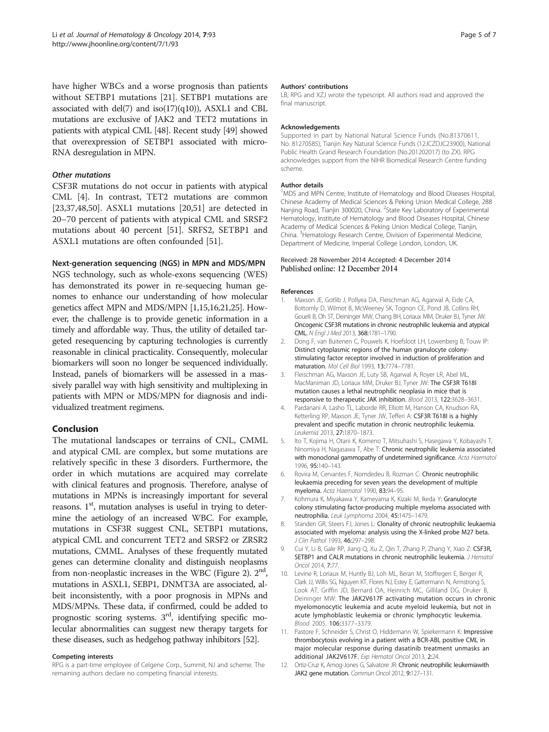<span id="page-4-0"></span>have higher WBCs and a worse prognosis than patients without SETBP1 mutations [\[21\]](#page-5-0). SETBP1 mutations are associated with del(7) and iso(17)(q10)), ASXL1 and CBL mutations are exclusive of JAK2 and TET2 mutations in patients with atypical CML [\[48\]](#page-6-0). Recent study [\[49\]](#page-6-0) showed that overexpression of SETBP1 associated with micro-RNA desregulation in MPN.

#### Other mutations

CSF3R mutations do not occur in patients with atypical CML [4]. In contrast, TET2 mutations are common [[23,37,](#page-5-0)[48,50\]](#page-6-0). ASXL1 mutations [[20](#page-5-0),[51](#page-6-0)] are detected in 20–70 percent of patients with atypical CML and SRSF2 mutations about 40 percent [\[51\]](#page-6-0). SRFS2, SETBP1 and ASXL1 mutations are often confounded [[51\]](#page-6-0).

#### Next-generation sequencing (NGS) in MPN and MDS/MPN

NGS technology, such as whole-exons sequencing (WES) has demonstrated its power in re-sequecing human genomes to enhance our understanding of how molecular genetics affect MPN and MDS/MPN [1[,15,16,21,25\]](#page-5-0). However, the challenge is to provide genetic information in a timely and affordable way. Thus, the utility of detailed targeted resequencing by capturing technologies is currently reasonable in clinical practicality. Consequently, molecular biomarkers will soon no longer be sequenced individually. Instead, panels of biomarkers will be assessed in a massively parallel way with high sensitivity and multiplexing in patients with MPN or MDS/MPN for diagnosis and individualized treatment regimens.

#### Conclusion

The mutational landscapes or terrains of CNL, CMML and atypical CML are complex, but some mutations are relatively specific in these 3 disorders. Furthermore, the order in which mutations are acquired may correlate with clinical features and prognosis. Therefore, analyse of mutations in MPNs is increasingly important for several reasons.  $1<sup>st</sup>$ , mutation analyses is useful in trying to determine the aetiology of an increased WBC. For example, mutations in CSF3R suggest CNL, SETBP1 mutations, atypical CML and concurrent TET2 and SRSF2 or ZRSR2 mutations, CMML. Analyses of these frequently mutated genes can determine clonality and distinguish neoplasms from non-neoplastic increases in the WBC (Figure [2\)](#page-3-0).  $2<sup>nd</sup>$ , mutations in ASXL1, SEBP1, DNMT3A are associated, albeit inconsistently, with a poor prognosis in MPNs and MDS/MPNs. These data, if confirmed, could be added to prognostic scoring systems. 3rd, identifying specific molecular abnormalities can suggest new therapy targets for these diseases, such as hedgehog pathway inhibitors [[52](#page-6-0)].

#### Competing interests

RPG is a part-time employee of Celgene Corp., Summit, NJ and scheme. The remaining authors declare no competing financial interests.

#### Authors' contributions

LB, RPG and XZJ wrote the typescript. All authors read and approved the final manuscript.

#### Acknowledgements

Supported in part by National Natural Science Funds (No.81370611, No. 81270585), Tianjin Key Natural Science Funds (12JCZDJC23900), National Public Health Grand Research Foundation (No.201202017) (to ZX). RPG acknowledges support from the NIHR Biomedical Research Centre funding scheme.

#### Author details

<sup>1</sup>MDS and MPN Centre, Institute of Hematology and Blood Diseases Hospital Chinese Academy of Medical Sciences & Peking Union Medical College, 288 Nanjing Road, Tianjin 300020, China. <sup>2</sup>State Key Laboratory of Experimental Hematology, Institute of Hematology and Blood Diseases Hospital, Chinese Academy of Medical Sciences & Peking Union Medical College, Tianjin, China. <sup>3</sup> Hematology Research Centre, Division of Experimental Medicine, Department of Medicine, Imperial College London, London, UK.

#### Received: 28 November 2014 Accepted: 4 December 2014 Published online: 12 December 2014

#### References

- 1. Maxson JE, Gotlib J, Pollyea DA, Fleischman AG, Agarwal A, Eide CA, Bottomly D, Wilmot B, McWeeney SK, Tognon CE, Pond JB, Collins RH, Goueli B, Oh ST, Deininger MW, Chang BH, Loriaux MM, Druker BJ, Tyner JW: Oncogenic CSF3R mutations in chronic neutrophilic leukemia and atypical CML. N Engl J Med 2013, 368:1781–1790.
- 2. Dong F, van Buitenen C, Pouwels K, Hoefsloot LH, Lowenberg B, Touw IP: Distinct cytoplasmic regions of the human granulocyte colonystimulating factor receptor involved in induction of proliferation and maturation. Mol Cell Biol 1993, 13:7774–7781.
- 3. Fleischman AG, Maxson JE, Luty SB, Agarwal A, Royer LR, Abel ML, MacManiman JD, Loriaux MM, Druker BJ, Tyner JW: The CSF3R T618I mutation causes a lethal neutrophilic neoplasia in mice that is responsive to therapeutic JAK inhibition. Blood 2013, 122:3628–3631.
- 4. Pardanani A, Lasho TL, Laborde RR, Elliott M, Hanson CA, Knudson RA, Ketterling RP, Maxson JE, Tyner JW, Tefferi A: CSF3R T618I is a highly prevalent and specific mutation in chronic neutrophilic leukemia. Leukemia 2013, 27:1870–1873.
- 5. Ito T, Kojima H, Otani K, Komeno T, Mitsuhashi S, Hasegawa Y, Kobayashi T, Ninomiya H, Nagasawa T, Abe T: Chronic neutrophilic leukemia associated with monoclonal gammopathy of undetermined significance. Acta Haematol 1996, 95:140–143.
- 6. Rovira M, Cervantes F, Nomdedeu B, Rozman C: Chronic neutrophilic leukaemia preceding for seven years the development of multiple myeloma. Acta Haematol 1990, 83:94–95.
- 7. Kohmura K, Miyakawa Y, Kameyama K, Kizaki M, Ikeda Y: Granulocyte colony stimulating factor-producing multiple myeloma associated with neutrophilia. Leuk Lymphoma 2004, 45:1475–1479.
- 8. Standen GR, Steers FJ, Jones L: Clonality of chronic neutrophilic leukaemia associated with myeloma: analysis using the X-linked probe M27 beta. J Clin Pathol 1993, 46:297–298.
- 9. Cui Y, Li B, Gale RP, Jiang Q, Xu Z, Qin T, Zhang P, Zhang Y, Xiao Z: CSF3R, SETBP1 and CALR mutations in chronic neutrophilic leukemia. J Hematol Oncol 2014, 7:77.
- 10. Levine R, Loriaux M, Huntly BJ, Loh ML, Beran M, Stoffregen E, Berger R, Clark JJ, Willis SG, Nguyen KT, Flores NJ, Estey E, Gattermann N, Armstrong S, Look AT, Griffin JD, Bernard OA, Heinrich MC, Gilliland DG, Druker B, Deininger MW: The JAK2V617F activating mutation occurs in chronic myelomonocytic leukemia and acute myeloid leukemia, but not in acute lymphoblastic leukemia or chronic lymphocytic leukemia. Blood 2005, 106:3377–3379.
- 11. Pastore F, Schneider S, Christ O, Hiddemann W, Spiekermann K: Impressive thrombocytosis evolving in a patient with a BCR-ABL positive CML in major molecular response during dasatinib treatment unmasks an additional JAK2V617F. Exp Hematol Oncol 2013, 2:24.
- 12. Ortiz-Cruz K, Amog-Jones G, Salvatore JR: Chronic neutrophilic leukemiawith JAK2 gene mutation. Commun Oncol 2012, 9:127-131.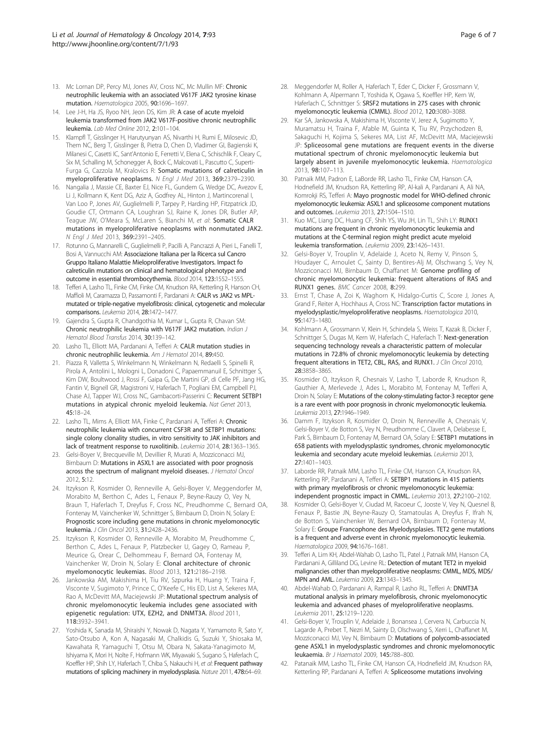- <span id="page-5-0"></span>13. Mc Lornan DP, Percy MJ, Jones AV, Cross NC, Mc Mullin MF: Chronic neutrophilic leukemia with an associated V617F JAK2 tyrosine kinase mutation. Haematologica 2005, 90:1696–1697.
- 14. Lee J-H, Ha JS, Ryoo NH, Jeon DS, Kim JR: A case of acute myeloid leukemia transformed from JAK2 V617F-positive chronic neutrophilic leukemia. Lab Med Online 2012, 2:101–104.
- 15. Klampfl T, Gisslinger H, Harutyunyan AS, Nivarthi H, Rumi E, Milosevic JD, Them NC, Berg T, Gisslinger B, Pietra D, Chen D, Vladimer GI, Bagienski K, Milanesi C, Casetti IC, Sant'Antonio E, Ferretti V, Elena C, Schischlik F, Cleary C, Six M, Schalling M, Schonegger A, Bock C, Malcovati L, Pascutto C, Superti-Furga G, Cazzola M, Kralovics R: Somatic mutations of calreticulin in myeloproliferative neoplasms. N Engl J Med 2013, 369:2379–2390.
- 16. Nangalia J, Massie CE, Baxter EJ, Nice FL, Gundem G, Wedge DC, Avezov E, Li J, Kollmann K, Kent DG, Aziz A, Godfrey AL, Hinton J, Martincorenal I, Van Loo P, Jones AV, Guglielmelli P, Tarpey P, Harding HP, Fitzpatrick JD, Goudie CT, Ortmann CA, Loughran SJ, Raine K, Jones DR, Butler AP, Teague JW, O'Meara S, McLaren S, Bianchi M, et al: Somatic CALR mutations in myeloproliferative neoplasms with nonmutated JAK2. N Engl J Med 2013, 369:2391–2405.
- 17. Rotunno G, Mannarelli C, Guglielmelli P, Pacilli A, Pancrazzi A, Pieri L, Fanelli T, Bosi A, Vannucchi AM: Associazione Italiana per la Ricerca sul Cancro Gruppo Italiano Malattie Mieloproliferative Investigators. Impact fo calreticulin mutations on clinical and hematological phenotype and outcome in essential thrombocythemia. Blood 2014, 123:1552–1555.
- 18. Tefferi A, Lasho TL, Finke CM, Finke CM, Knudson RA, Ketterling R, Hanson CH, Maffioli M, Caramazza D, Passamonti F, Pardanani A: CALR vs JAK2 vs MPLmutated or triple-negative myelofibrosis: clinical, cytogenetic and molecular comparisons. Leukemia 2014, 28:1472–1477.
- 19. Gajendra S, Gupta R, Chandgothia M, Kumar L, Gupta R, Chavan SM: Chronic neutrophilic leukemia with V617F JAK2 mutation. Indian J Hematol Blood Transfus 2014, 30:139–142.
- 20. Lasho TL, Elliott MA, Pardanani A, Tefferi A: CALR mutation studies in chronic neutrophilic leukemia. Am J Hematol 2014, 89:450.
- 21. Piazza R, Valletta S, Winkelmann N, Winkelmann N, Redaelli S, Spinelli R, Pirola A, Antolini L, Mologni L, Donadoni C, Papaemmanuil E, Schnittger S, Kim DW, Boultwood J, Rossi F, Gaipa G, De Martini GP, di Celle PF, Jang HG, Fantin V, Bignell GR, Magistroni V, Haferlach T, Pogliani EM, Campbell PJ, Chase AJ, Tapper WJ, Cross NC, Gambacorti-Passerini C: Recurrent SETBP1 mutations in atypical chronic myeloid leukemia. Nat Genet 2013, 45:18–24.
- 22. Lasho TL, Mims A, Elliott MA, Finke C, Pardanani A, Tefferi A: Chronic neutrophilic leukemia with concurrent CSF3R and SETBP1 mutations: single colony clonality studies, in vitro sensitivity to JAK inhibitors and lack of treatment response to ruxolitinib. Leukemia 2014, 28:1363–1365.
- 23. Gelsi-Boyer V, Brecqueville M, Devillier R, Murati A, Mozziconacci MJ, Birnbaum D: Mutations in ASXL1 are associated with poor prognosis across the spectrum of malignant myeloid diseases. J Hematol Oncol 2012, 5:12.
- 24. Itzykson R, Kosmider O, Renneville A, Gelsi-Boyer V, Meggendorfer M, Morabito M, Berthon C, Ades L, Fenaux P, Beyne-Rauzy O, Vey N, Braun T, Haferlach T, Dreyfus F, Cross NC, Preudhomme C, Bernard OA, Fontenay M, Vainchenker W, Schnittger S, Birnbaum D, Droin N, Solary E: Prognostic score including gene mutations in chronic myelomonocytic leukemia. J Clin Oncol 2013, 31:2428–2436.
- 25. Itzykson R, Kosmider O, Renneville A, Morabito M, Preudhomme C, Berthon C, Ades L, Fenaux P, Platzbecker U, Gagey O, Rameau P, Meurice G, Orear C, Delhommeau F, Bernard OA, Fontenay M, Vainchenker W, Droin N, Solary E: Clonal architecture of chronic myelomonocytic leukemias. Blood 2013, 121:2186–2198.
- Jankowska AM, Makishima H, Tiu RV, Szpurka H, Huang Y, Traina F, Visconte V, Sugimoto Y, Prince C, O'Keefe C, His ED, List A, Sekeres MA, Rao A, McDevitt MA, Maciejewski JP: Mutational spectrum analysis of chronic myelomonocytic leukemia includes gene associated with epigenetic regulation: UTX, EZH2, and DNMT3A. Blood 2011, 118:3932–3941.
- 27. Yoshida K, Sanada M, Shiraishi Y, Nowak D, Nagata Y, Yamamoto R, Sato Y, Sato-Otsubo A, Kon A, Nagasaki M, Chalkidis G, Suzuki Y, Shiosaka M, Kawahata R, Yamaguchi T, Otsu M, Obara N, Sakata-Yanagimoto M, Ishiyama K, Mori H, Nolte F, Hofmann WK, Miyawaki S, Sugano S, Haferlach C, Koeffler HP, Shih LY, Haferlach T, Chiba S, Nakauchi H, et al: Frequent pathway mutations of splicing machinery in myelodysplasia. Nature 2011, 478:64–69.
- 28. Meggendorfer M, Roller A, Haferlach T, Eder C, Dicker F, Grossmann V, Kohlmann A, Alpermann T, Yoshida K, Ogawa S, Koeffler HP, Kern W, Haferlach C, Schnittger S: SRSF2 mutations in 275 cases with chronic myelomonocytic leukemia (CMML). Blood 2012, 120:3080–3088.
- 29. Kar SA, Jankowska A, Makishima H, Visconte V, Jerez A, Sugimotto Y, Muramatsu H, Traina F, Afable M, Guinta K, Tiu RV, Przychodzen B, Sakaguchi H, Kojima S, Sekeres MA, List AF, McDevitt MA, Maciejewski JP: Spliceosomal gene mutations are frequent events in the diverse mutational spectrum of chronic myelomonocytic leukemia but largely absent in juvenile myelomonocytic leukemia. Haematologica 2013, 98:107–113.
- 30. Patnaik MM, Padron E, LaBorde RR, Lasho TL, Finke CM, Hanson CA, Hodnefield JM, Knudson RA, Ketterling RP, Al-kali A, Pardanani A, Ali NA, Komrokji RS, Tefferi A: Mayo prognostic model for WHO-defined chronic myelomonocytic leukemia: ASXL1 and spliceosome component mutations and outcomes. Leukemia 2013, 27:1504–1510.
- 31. Kuo MC, Liang DC, Huang CF, Shih YS, Wu JH, Lin TL, Shih LY: RUNX1 mutations are frequent in chronic myelomonocytic leukemia and mutations at the C-terminal region might predict acute myeloid leukemia transformation. Leukemia 2009, 23:1426–1431.
- 32. Gelsi-Boyer V, Trouplin V, Adelaide J, Aceto N, Remy V, Pinson S, Houdayer C, Arnoulet C, Sainty D, Bentires-Alj M, Olschwang S, Vey N, Mozziconacci MJ, Birnbaum D, Chaffanet M: Genome profiling of chronic myelomonocytic leukemia: frequent alterations of RAS and RUNX1 genes. BMC Cancer 2008, 8:299.
- 33. Ernst T, Chase A, Zoi K, Waghorn K, Hidalgo-Curtis C, Score J, Jones A, Grand F, Reiter A, Hochhaus A, Cross NC: Transcription factor mutations in myelodysplastic/myeloproliferative neoplasms. Haematologica 2010, 95:1473–1480.
- 34. Kohlmann A, Grossmann V, Klein H, Schindela S, Weiss T, Kazak B, Dicker F, Schnittger S, Dugas M, Kern W, Haferlach C, Haferlach T: Next-generation sequencing technology reveals a characteristic pattern of molecular mutations in 72.8% of chronic myelomonocytic leukemia by detecting frequent alterations in TET2, CBL, RAS, and RUNX1. J Clin Oncol 2010, 28:3858–3865.
- 35. Kosmider O, Itzykson R, Chesnais V, Lasho T, Laborde R, Knudson R, Gauthier A, Merlevede J, Ades L, Morabito M, Fontenay M, Tefferi A, Droin N, Solary E: Mutations of the colony-stimulating factor-3 receptor gene is a rare event with poor prognosis in chronic myelomonocytic leukemia. Leukemia 2013, 27:1946–1949.
- 36. Damm F, Itzykson R, Kosmider O, Droin N, Renneville A, Chesnais V, Gelsi-Boyer V, de Botton S, Vey N, Preudhomme C, Clavert A, Delabesse E, Park S, Birnbaum D, Fontenay M, Bernard OA, Solary E: SETBP1 mutations in 658 patients with myelodysplastic syndromes, chronic myelomonocytic leukemia and secondary acute myeloid leukemias. Leukemia 2013, 27:1401–1403.
- 37. Laborde RR, Patnaik MM, Lasho TL, Finke CM, Hanson CA, Knudson RA, Ketterling RP, Pardanani A, Tefferi A: SETBP1 mutations in 415 patients with primary myelofibrosis or chronic myelomonocytic leukemia: independent prognostic impact in CMML. Leukemia 2013, 27:2100–2102.
- 38. Kosmider O, Gelsi-Boyer V, Ciudad M, Racoeur C, Jooste V, Vey N, Quesnel B, Fenaux P, Bastie JN, Beyne-Rauzy O, Stamatoulas A, Dreyfus F, Ifrah N, de Botton S, Vainchenker W, Bernard OA, Birnbaum D, Fontenay M, Solary E: Groupe Francophone des Myelodysplasies. TET2 gene mutations is a frequent and adverse event in chronic myelomonocytic leukemia. Haematologica 2009, 94:1676–1681.
- 39. Tefferi A, Lim KH, Abdel-Wahab O, Lasho TL, Patel J, Patnaik MM, Hanson CA, Pardanani A, Gilliland DG, Levine RL: Detection of mutant TET2 in myeloid malignancies other than myeloproliferative neoplasms: CMML, MDS, MDS/ MPN and AML. Leukemia 2009, 23:1343–1345.
- 40. Abdel-Wahab O, Pardanani A, Rampal R, Lasho RL, Tefferi A: DNMT3A mutational analysis in primary myelofibrosis, chronic myelomonocytic leukemia and advanced phases of myeloproliferative neoplasms. Leukemia 2011, 25:1219–1220.
- 41. Gelsi-Boyer V, Trouplin V, Adelaide J, Bonansea J, Cervera N, Carbuccia N, Lagarde A, Prebet T, Nezri M, Sainty D, Olschwang S, Xerri L, Chaffanet M, Mozziconacci MJ, Vey N, Birnbaum D: Mutations of polycomb-associated gene ASXL1 in myelodysplastic syndromes and chronic myelomonocytic leukaemia. Br J Haematol 2009, 145:788–800.
- 42. Patanaik MM, Lasho TL, Finke CM, Hanson CA, Hodnefield JM, Knudson RA, Ketterling RP, Pardanani A, Tefferi A: Spliceosome mutations involving